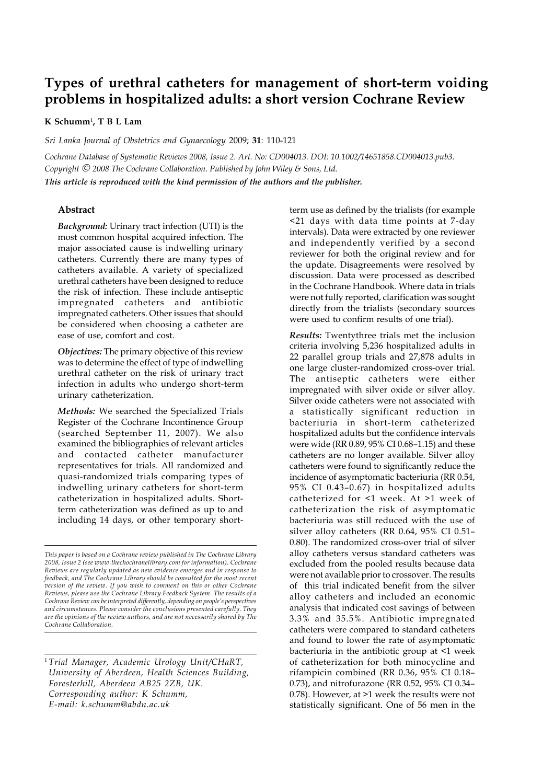# **Types of urethral catheters for management of short-term voiding problems in hospitalized adults: a short version Cochrane Review**

# **K Schumm**<sup>1</sup> **, T B L Lam**

*Sri Lanka Journal of Obstetrics and Gynaecology* 2009; **31**: 110-121

*Cochrane Database of Systematic Reviews 2008, Issue 2. Art. No: CD004013. DOI: 10.1002/14651858.CD004013.pub3. Copyright 2008 The Cochrane Collaboration. Published by John Wiley & Sons, Ltd. This article is reproduced with the kind permission of the authors and the publisher.*

# **Abstract**

*Background:* Urinary tract infection (UTI) is the most common hospital acquired infection. The major associated cause is indwelling urinary catheters. Currently there are many types of catheters available. A variety of specialized urethral catheters have been designed to reduce the risk of infection. These include antiseptic impregnated catheters and antibiotic impregnated catheters. Other issues that should be considered when choosing a catheter are ease of use, comfort and cost.

*Objectives:* The primary objective of this review was to determine the effect of type of indwelling urethral catheter on the risk of urinary tract infection in adults who undergo short-term urinary catheterization.

*Methods:* We searched the Specialized Trials Register of the Cochrane Incontinence Group (searched September 11, 2007). We also examined the bibliographies of relevant articles and contacted catheter manufacturer representatives for trials. All randomized and quasi-randomized trials comparing types of indwelling urinary catheters for short-term catheterization in hospitalized adults. Shortterm catheterization was defined as up to and including 14 days, or other temporary short-

*This paper is based on a Cochrane review published in The Cochrane Library 2008, Issue 2 (see www.thechochranelibrary.com for information). Cochrane Reviews are regularly updated as new evidence emerges and in response to feedback, and The Cochrane Library should be consulted for the most recent version of the review. If you wish to comment on this or other Cochrane Reviews, please use the Cochrane Library Feedback System. The results of a Cochrane Review can be interpreted differently, depending on people's perspectives and circumstances. Please consider the conclusions presented carefully. They are the opinions of the review authors, and are not necessarily shared by The Cochrane Collaboration.*

<sup>1</sup> *Trial Manager, Academic Urology Unit/CHaRT, University of Aberdeen, Health Sciences Building, Foresterhill, Aberdeen AB25 2ZB, UK. Corresponding author: K Schumm, E-mail: k.schumm@abdn.ac.uk*

term use as defined by the trialists (for example <21 days with data time points at 7-day intervals). Data were extracted by one reviewer and independently verified by a second reviewer for both the original review and for the update. Disagreements were resolved by discussion. Data were processed as described in the Cochrane Handbook. Where data in trials were not fully reported, clarification was sought directly from the trialists (secondary sources were used to confirm results of one trial).

*Results:* Twentythree trials met the inclusion criteria involving 5,236 hospitalized adults in 22 parallel group trials and 27,878 adults in one large cluster-randomized cross-over trial. The antiseptic catheters were either impregnated with silver oxide or silver alloy. Silver oxide catheters were not associated with a statistically significant reduction in bacteriuria in short-term catheterized hospitalized adults but the confidence intervals were wide (RR 0.89, 95% CI 0.68–1.15) and these catheters are no longer available. Silver alloy catheters were found to significantly reduce the incidence of asymptomatic bacteriuria (RR 0.54, 95% CI 0.43–0.67) in hospitalized adults catheterized for <1 week. At >1 week of catheterization the risk of asymptomatic bacteriuria was still reduced with the use of silver alloy catheters (RR 0.64, 95% CI 0.51– 0.80). The randomized cross-over trial of silver alloy catheters versus standard catheters was excluded from the pooled results because data were not available prior to crossover. The results of this trial indicated benefit from the silver alloy catheters and included an economic analysis that indicated cost savings of between 3.3% and 35.5%. Antibiotic impregnated catheters were compared to standard catheters and found to lower the rate of asymptomatic bacteriuria in the antibiotic group at <1 week of catheterization for both minocycline and rifampicin combined (RR 0.36, 95% CI 0.18– 0.73), and nitrofurazone (RR 0.52, 95% CI 0.34– 0.78). However, at >1 week the results were not statistically significant. One of 56 men in the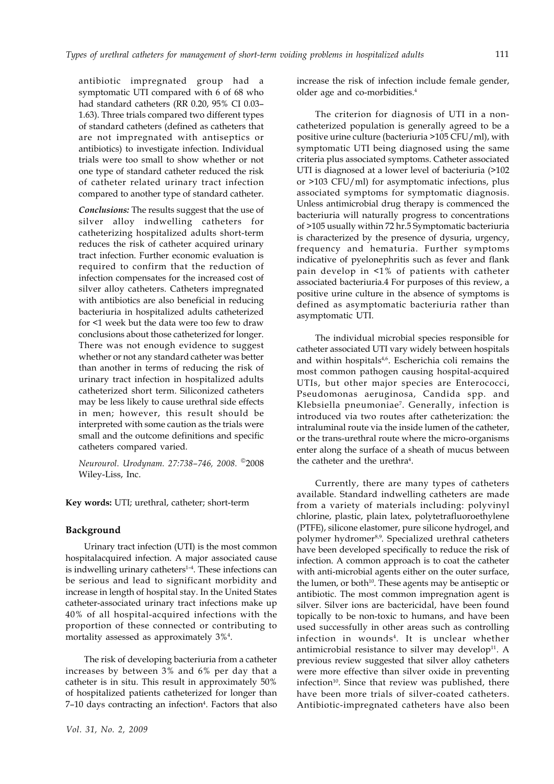antibiotic impregnated group had a symptomatic UTI compared with 6 of 68 who had standard catheters (RR 0.20, 95% CI 0.03– 1.63). Three trials compared two different types of standard catheters (defined as catheters that are not impregnated with antiseptics or antibiotics) to investigate infection. Individual trials were too small to show whether or not one type of standard catheter reduced the risk of catheter related urinary tract infection compared to another type of standard catheter.

*Conclusions:* The results suggest that the use of silver alloy indwelling catheters for catheterizing hospitalized adults short-term reduces the risk of catheter acquired urinary tract infection. Further economic evaluation is required to confirm that the reduction of infection compensates for the increased cost of silver alloy catheters. Catheters impregnated with antibiotics are also beneficial in reducing bacteriuria in hospitalized adults catheterized for <1 week but the data were too few to draw conclusions about those catheterized for longer. There was not enough evidence to suggest whether or not any standard catheter was better than another in terms of reducing the risk of urinary tract infection in hospitalized adults catheterized short term. Siliconized catheters may be less likely to cause urethral side effects in men; however, this result should be interpreted with some caution as the trials were small and the outcome definitions and specific catheters compared varied.

*Neurourol. Urodynam. 27:738–746, 2008.* 2008 Wiley-Liss, Inc.

**Key words:** UTI; urethral, catheter; short-term

## **Background**

Urinary tract infection (UTI) is the most common hospitalacquired infection. A major associated cause is indwelling urinary catheters $1-4$ . These infections can be serious and lead to significant morbidity and increase in length of hospital stay. In the United States catheter-associated urinary tract infections make up 40% of all hospital-acquired infections with the proportion of these connected or contributing to mortality assessed as approximately 3%4 .

The risk of developing bacteriuria from a catheter increases by between 3% and 6% per day that a catheter is in situ. This result in approximately 50% of hospitalized patients catheterized for longer than 7-10 days contracting an infection<sup>4</sup>. Factors that also

increase the risk of infection include female gender, older age and co-morbidities.4

The criterion for diagnosis of UTI in a noncatheterized population is generally agreed to be a positive urine culture (bacteriuria >105 CFU/ml), with symptomatic UTI being diagnosed using the same criteria plus associated symptoms. Catheter associated UTI is diagnosed at a lower level of bacteriuria (>102 or >103 CFU/ml) for asymptomatic infections, plus associated symptoms for symptomatic diagnosis. Unless antimicrobial drug therapy is commenced the bacteriuria will naturally progress to concentrations of >105 usually within 72 hr.5 Symptomatic bacteriuria is characterized by the presence of dysuria, urgency, frequency and hematuria. Further symptoms indicative of pyelonephritis such as fever and flank pain develop in <1% of patients with catheter associated bacteriuria.4 For purposes of this review, a positive urine culture in the absence of symptoms is defined as asymptomatic bacteriuria rather than asymptomatic UTI.

The individual microbial species responsible for catheter associated UTI vary widely between hospitals and within hospitals<sup>4,6</sup>. Escherichia coli remains the most common pathogen causing hospital-acquired UTIs, but other major species are Enterococci, Pseudomonas aeruginosa, Candida spp. and Klebsiella pneumoniae7. Generally, infection is introduced via two routes after catheterization: the intraluminal route via the inside lumen of the catheter, or the trans-urethral route where the micro-organisms enter along the surface of a sheath of mucus between the catheter and the urethra<sup>4</sup>.

Currently, there are many types of catheters available. Standard indwelling catheters are made from a variety of materials including: polyvinyl chlorine, plastic, plain latex, polytetrafluoroethylene (PTFE), silicone elastomer, pure silicone hydrogel, and polymer hydromer<sup>8,9</sup>. Specialized urethral catheters have been developed specifically to reduce the risk of infection. A common approach is to coat the catheter with anti-microbial agents either on the outer surface, the lumen, or both<sup>10</sup>. These agents may be antiseptic or antibiotic. The most common impregnation agent is silver. Silver ions are bactericidal, have been found topically to be non-toxic to humans, and have been used successfully in other areas such as controlling infection in wounds4. It is unclear whether antimicrobial resistance to silver may develop<sup>11</sup>. A previous review suggested that silver alloy catheters were more effective than silver oxide in preventing infection<sup>10</sup>. Since that review was published, there have been more trials of silver-coated catheters. Antibiotic-impregnated catheters have also been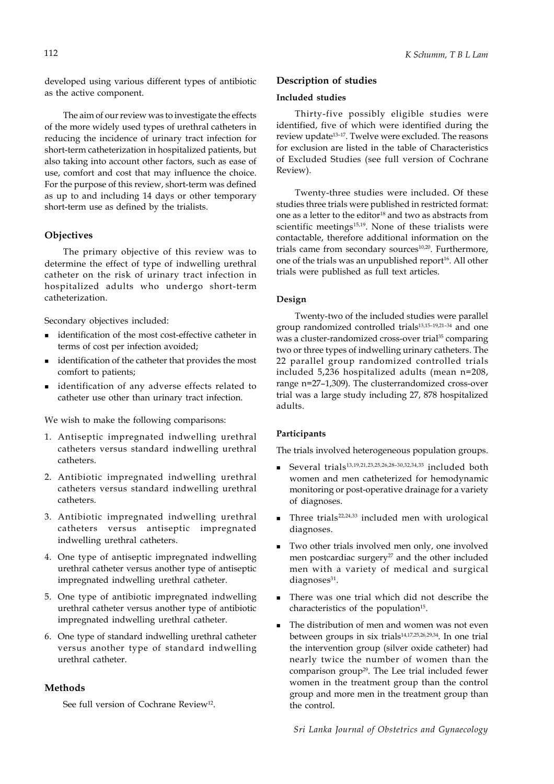developed using various different types of antibiotic as the active component.

The aim of our review was to investigate the effects of the more widely used types of urethral catheters in reducing the incidence of urinary tract infection for short-term catheterization in hospitalized patients, but also taking into account other factors, such as ease of use, comfort and cost that may influence the choice. For the purpose of this review, short-term was defined as up to and including 14 days or other temporary short-term use as defined by the trialists.

# **Objectives**

The primary objective of this review was to determine the effect of type of indwelling urethral catheter on the risk of urinary tract infection in hospitalized adults who undergo short-term catheterization.

Secondary objectives included:

- identification of the most cost-effective catheter in terms of cost per infection avoided;
- identification of the catheter that provides the most comfort to patients;
- identification of any adverse effects related to catheter use other than urinary tract infection.

We wish to make the following comparisons:

- 1. Antiseptic impregnated indwelling urethral catheters versus standard indwelling urethral catheters.
- 2. Antibiotic impregnated indwelling urethral catheters versus standard indwelling urethral catheters.
- 3. Antibiotic impregnated indwelling urethral catheters versus antiseptic impregnated indwelling urethral catheters.
- 4. One type of antiseptic impregnated indwelling urethral catheter versus another type of antiseptic impregnated indwelling urethral catheter.
- 5. One type of antibiotic impregnated indwelling urethral catheter versus another type of antibiotic impregnated indwelling urethral catheter.
- 6. One type of standard indwelling urethral catheter versus another type of standard indwelling urethral catheter.

## **Methods**

See full version of Cochrane Review<sup>12</sup>.

#### **Description of studies**

# **Included studies**

Thirty-five possibly eligible studies were identified, five of which were identified during the review update<sup>13-17</sup>. Twelve were excluded. The reasons for exclusion are listed in the table of Characteristics of Excluded Studies (see full version of Cochrane Review).

Twenty-three studies were included. Of these studies three trials were published in restricted format: one as a letter to the editor<sup>18</sup> and two as abstracts from scientific meetings $15,19$ . None of these trialists were contactable, therefore additional information on the trials came from secondary sources<sup>10,20</sup>. Furthermore, one of the trials was an unpublished report<sup>16</sup>. All other trials were published as full text articles.

## **Design**

Twenty-two of the included studies were parallel group randomized controlled trials<sup>13,15-19,21-34</sup> and one was a cluster-randomized cross-over trial<sup>35</sup> comparing two or three types of indwelling urinary catheters. The 22 parallel group randomized controlled trials included 5,236 hospitalized adults (mean n=208, range n=27–1,309). The clusterrandomized cross-over trial was a large study including 27, 878 hospitalized adults.

#### **Participants**

The trials involved heterogeneous population groups.

- Several trials<sup>13,19,21,23,25,26,28-30,32,34,35</sup> included both women and men catheterized for hemodynamic monitoring or post-operative drainage for a variety of diagnoses.
- Three trials<sup>22,24,33</sup> included men with urological diagnoses.
- Two other trials involved men only, one involved men postcardiac surgery<sup>27</sup> and the other included men with a variety of medical and surgical diagnoses<sup>31</sup>.
- There was one trial which did not describe the characteristics of the population $15$ .
- The distribution of men and women was not even between groups in six trials<sup>14,17,25,26,29,34</sup>. In one trial the intervention group (silver oxide catheter) had nearly twice the number of women than the comparison group<sup>29</sup>. The Lee trial included fewer women in the treatment group than the control group and more men in the treatment group than the control.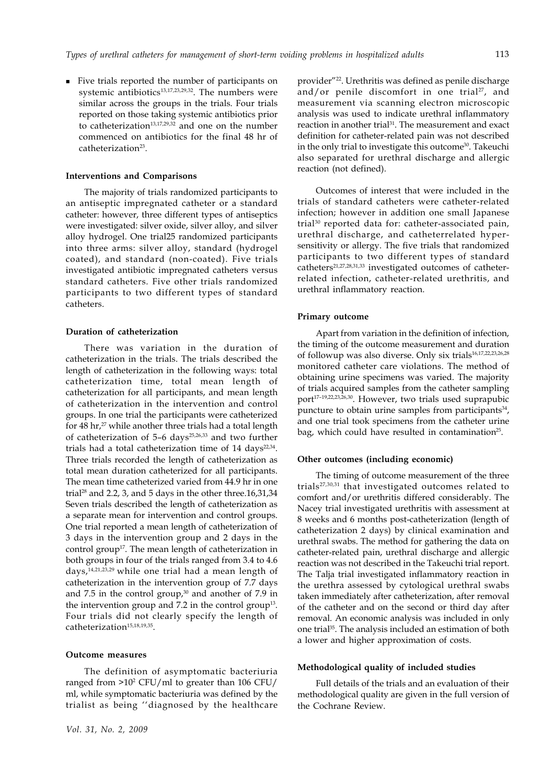Five trials reported the number of participants on systemic antibiotics<sup>13,17,23,29,32</sup>. The numbers were similar across the groups in the trials. Four trials reported on those taking systemic antibiotics prior to catheterization<sup>13,17,29,32</sup> and one on the number commenced on antibiotics for the final 48 hr of catheterization23.

#### **Interventions and Comparisons**

The majority of trials randomized participants to an antiseptic impregnated catheter or a standard catheter: however, three different types of antiseptics were investigated: silver oxide, silver alloy, and silver alloy hydrogel. One trial25 randomized participants into three arms: silver alloy, standard (hydrogel coated), and standard (non-coated). Five trials investigated antibiotic impregnated catheters versus standard catheters. Five other trials randomized participants to two different types of standard catheters.

#### **Duration of catheterization**

There was variation in the duration of catheterization in the trials. The trials described the length of catheterization in the following ways: total catheterization time, total mean length of catheterization for all participants, and mean length of catheterization in the intervention and control groups. In one trial the participants were catheterized for 48 hr,<sup>27</sup> while another three trials had a total length of catheterization of 5–6 days25,26,33 and two further trials had a total catheterization time of 14 days<sup>22,34</sup>. Three trials recorded the length of catheterization as total mean duration catheterized for all participants. The mean time catheterized varied from 44.9 hr in one trial<sup>28</sup> and 2.2, 3, and 5 days in the other three.16,31,34 Seven trials described the length of catheterization as a separate mean for intervention and control groups. One trial reported a mean length of catheterization of 3 days in the intervention group and 2 days in the control group<sup>17</sup>. The mean length of catheterization in both groups in four of the trials ranged from 3.4 to 4.6 days,14,21,23,29 while one trial had a mean length of catheterization in the intervention group of 7.7 days and 7.5 in the control group, $30$  and another of 7.9 in the intervention group and 7.2 in the control group<sup>13</sup>. Four trials did not clearly specify the length of catheterization<sup>15,18,19,35</sup>.

#### **Outcome measures**

The definition of asymptomatic bacteriuria ranged from >102 CFU/ml to greater than 106 CFU/ ml, while symptomatic bacteriuria was defined by the trialist as being ''diagnosed by the healthcare

provider"22. Urethritis was defined as penile discharge and/or penile discomfort in one trial<sup>27</sup>, and measurement via scanning electron microscopic analysis was used to indicate urethral inflammatory reaction in another trial<sup>31</sup>. The measurement and exact definition for catheter-related pain was not described in the only trial to investigate this outcome<sup>30</sup>. Takeuchi also separated for urethral discharge and allergic reaction (not defined).

Outcomes of interest that were included in the trials of standard catheters were catheter-related infection; however in addition one small Japanese trial30 reported data for: catheter-associated pain, urethral discharge, and catheterrelated hypersensitivity or allergy. The five trials that randomized participants to two different types of standard catheters21,27,28,31,33 investigated outcomes of catheterrelated infection, catheter-related urethritis, and urethral inflammatory reaction.

#### **Primary outcome**

Apart from variation in the definition of infection, the timing of the outcome measurement and duration of followup was also diverse. Only six trials<sup>16,17,22,23,26,28</sup> monitored catheter care violations. The method of obtaining urine specimens was varied. The majority of trials acquired samples from the catheter sampling port<sup>17-19,22,23,26,30</sup>. However, two trials used suprapubic puncture to obtain urine samples from participants<sup>34</sup>, and one trial took specimens from the catheter urine bag, which could have resulted in contamination<sup>25</sup>.

#### **Other outcomes (including economic)**

The timing of outcome measurement of the three trials27,30,31 that investigated outcomes related to comfort and/or urethritis differed considerably. The Nacey trial investigated urethritis with assessment at 8 weeks and 6 months post-catheterization (length of catheterization 2 days) by clinical examination and urethral swabs. The method for gathering the data on catheter-related pain, urethral discharge and allergic reaction was not described in the Takeuchi trial report. The Talja trial investigated inflammatory reaction in the urethra assessed by cytological urethral swabs taken immediately after catheterization, after removal of the catheter and on the second or third day after removal. An economic analysis was included in only one trial35. The analysis included an estimation of both a lower and higher approximation of costs.

## **Methodological quality of included studies**

Full details of the trials and an evaluation of their methodological quality are given in the full version of the Cochrane Review.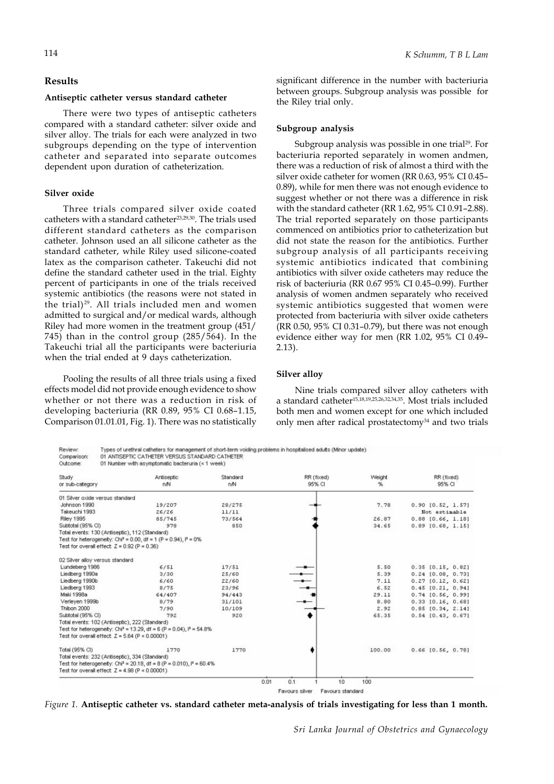# **Results**

#### **Antiseptic catheter versus standard catheter**

There were two types of antiseptic catheters compared with a standard catheter: silver oxide and silver alloy. The trials for each were analyzed in two subgroups depending on the type of intervention catheter and separated into separate outcomes dependent upon duration of catheterization.

#### **Silver oxide**

Three trials compared silver oxide coated catheters with a standard catheter<sup>23,29,30</sup>. The trials used different standard catheters as the comparison catheter. Johnson used an all silicone catheter as the standard catheter, while Riley used silicone-coated latex as the comparison catheter. Takeuchi did not define the standard catheter used in the trial. Eighty percent of participants in one of the trials received systemic antibiotics (the reasons were not stated in the trial) 29. All trials included men and women admitted to surgical and/or medical wards, although Riley had more women in the treatment group (451/ 745) than in the control group (285/564). In the Takeuchi trial all the participants were bacteriuria when the trial ended at 9 days catheterization.

Pooling the results of all three trials using a fixed effects model did not provide enough evidence to show whether or not there was a reduction in risk of developing bacteriuria (RR 0.89, 95% CI 0.68–1.15, Comparison 01.01.01, Fig. 1). There was no statistically significant difference in the number with bacteriuria between groups. Subgroup analysis was possible for the Riley trial only.

#### **Subgroup analysis**

Subgroup analysis was possible in one trial<sup>29</sup>. For bacteriuria reported separately in women andmen, there was a reduction of risk of almost a third with the silver oxide catheter for women (RR 0.63, 95% CI 0.45– 0.89), while for men there was not enough evidence to suggest whether or not there was a difference in risk with the standard catheter (RR 1.62, 95% CI 0.91–2.88). The trial reported separately on those participants commenced on antibiotics prior to catheterization but did not state the reason for the antibiotics. Further subgroup analysis of all participants receiving systemic antibiotics indicated that combining antibiotics with silver oxide catheters may reduce the risk of bacteriuria (RR 0.67 95% CI 0.45–0.99). Further analysis of women andmen separately who received systemic antibiotics suggested that women were protected from bacteriuria with silver oxide catheters (RR 0.50, 95% CI 0.31–0.79), but there was not enough evidence either way for men (RR 1.02, 95% CI 0.49– 2.13).

#### **Silver alloy**

Nine trials compared silver alloy catheters with a standard catheter15,18,19,25,26,32,34,35. Most trials included both men and women except for one which included only men after radical prostatectomy<sup>34</sup> and two trials

Review Types of urethral catheters for management of short-term voiding problems in hospitalised adults (Minor update) Comparison: 01 ANTISEPTIC CATHETER VERSLIS STANDARD CATHETER Outcome 01 Number with asymptomatic bacteruria (< 1 week)

| Study<br>or sub-category                              | Antiseptic<br>nM                                                                   | Standard<br>nM | RR (fixed)<br>95% CI | Weight<br>% | RR (fixed)<br>95% CI  |
|-------------------------------------------------------|------------------------------------------------------------------------------------|----------------|----------------------|-------------|-----------------------|
| 01 Silver oxide versus standard                       |                                                                                    |                |                      |             |                       |
| Johnson 1990                                          | 19/207                                                                             | 28/275         |                      | 7.78        | 0.90 [0.52, 1.57]     |
| Takeuchi 1993                                         | 26/26                                                                              | 11/11          |                      |             | Not estimable         |
| <b>Riley 1995</b>                                     | 85/745                                                                             | 73/564         |                      | 26.87       | $0.88$ $[0.66, 1.18]$ |
| Subtotal (95% CI)                                     | 978                                                                                | 850            |                      | 34.65       | $0.89$ $[0.68, 1.15]$ |
| Total events: 130 (Antiseptic), 112 (Standard)        |                                                                                    |                |                      |             |                       |
|                                                       | Test for heterogeneity: Chi <sup>2</sup> = 0.00, df = 1 (P = 0.94), $I^2 = 0\%$    |                |                      |             |                       |
| Test for overall effect: $Z = 0.92$ (P = 0.36)        |                                                                                    |                |                      |             |                       |
| 02 Silver alloy versus standard                       |                                                                                    |                |                      |             |                       |
| Lundeberg 1986                                        | 6/51                                                                               | 17/51          |                      | 5.50        | $0.35$ $[0.15, 0.82]$ |
| Liedberg 1990a                                        | 3/30                                                                               | 25/60          |                      | 5.39        | $0.24$ $[0.08, 0.73]$ |
| Liedberg 1990b                                        | 6/60                                                                               | 22/60          |                      | 7.11        | $0.27$ $[0.12, 0.62]$ |
| Liedberg 1993                                         | 8/75                                                                               | 23/96          |                      | 6.52        | $0.45$ $[0.21, 0.94]$ |
| Maki 1998a                                            | 64/407                                                                             | 94/443         |                      | 29.11       | $0.74$ $[0.56, 0.99]$ |
| Verleyen 1999b                                        | 8/79                                                                               | 31/101         |                      | 8.80        | $0.33$ $[0.16, 0.68]$ |
| Thibon 2000                                           | 7/90                                                                               | 10/109         |                      | 2.92        | $0.85$ $[0.34, 2.14]$ |
| Subtotal (95% CI)                                     | 792                                                                                | 920            |                      | 65.35       | $0.54$ $[0.43, 0.67]$ |
| Total events: 102 (Antiseptic), 222 (Standard)        |                                                                                    |                |                      |             |                       |
|                                                       | Test for heterogeneity: Chi <sup>2</sup> = 13.29, df = 6 (P = 0.04), $P = 54.8\%$  |                |                      |             |                       |
| Test for overall effect: $Z = 5.64$ ( $P < 0.00001$ ) |                                                                                    |                |                      |             |                       |
| Total (95% CI)                                        | 1770                                                                               | 1770           |                      | 100.00      | $0.66$ $[0.56, 0.78]$ |
| Total events: 232 (Antiseptic), 334 (Standard).       |                                                                                    |                |                      |             |                       |
|                                                       | Test for heterogeneity: Chi <sup>2</sup> = 20.18, df = 8 (P = 0.010), $P = 60.4\%$ |                |                      |             |                       |
| Test for overall effect: $Z = 4.98$ ( $P < 0.00001$ ) |                                                                                    |                |                      |             |                       |
|                                                       |                                                                                    | 0.01           | 0.1<br>10            | 100         |                       |

Favours silver Favours standard

*Figure 1.* **Antiseptic catheter vs. standard catheter meta-analysis of trials investigating for less than 1 month.**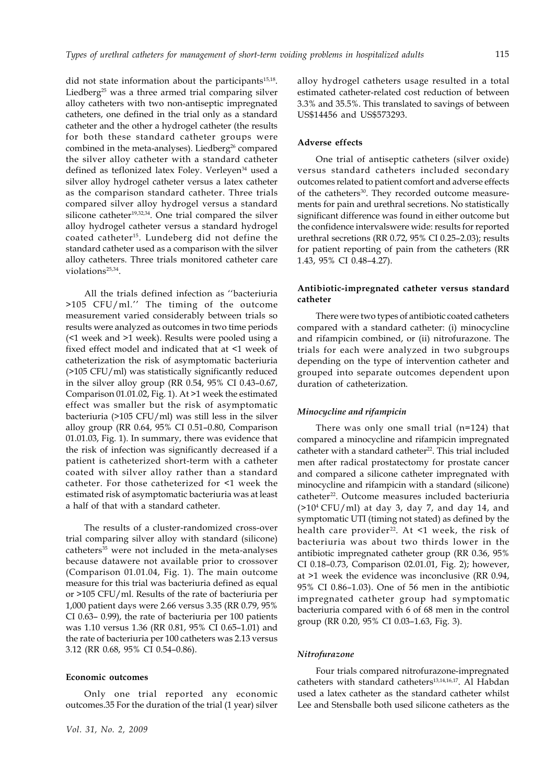did not state information about the participants $15,18$ . Liedberg<sup>25</sup> was a three armed trial comparing silver alloy catheters with two non-antiseptic impregnated catheters, one defined in the trial only as a standard catheter and the other a hydrogel catheter (the results for both these standard catheter groups were combined in the meta-analyses). Liedberg<sup>26</sup> compared the silver alloy catheter with a standard catheter defined as teflonized latex Foley. Verleyen<sup>34</sup> used a silver alloy hydrogel catheter versus a latex catheter as the comparison standard catheter. Three trials compared silver alloy hydrogel versus a standard silicone catheter<sup>19,32,34</sup>. One trial compared the silver alloy hydrogel catheter versus a standard hydrogel coated catheter<sup>15</sup>. Lundeberg did not define the standard catheter used as a comparison with the silver alloy catheters. Three trials monitored catheter care violations25,34.

All the trials defined infection as ''bacteriuria >105 CFU/ml.'' The timing of the outcome measurement varied considerably between trials so results were analyzed as outcomes in two time periods (<1 week and >1 week). Results were pooled using a fixed effect model and indicated that at <1 week of catheterization the risk of asymptomatic bacteriuria (>105 CFU/ml) was statistically significantly reduced in the silver alloy group (RR 0.54, 95% CI 0.43–0.67, Comparison 01.01.02, Fig. 1). At >1 week the estimated effect was smaller but the risk of asymptomatic bacteriuria (>105 CFU/ml) was still less in the silver alloy group (RR 0.64, 95% CI 0.51–0.80, Comparison 01.01.03, Fig. 1). In summary, there was evidence that the risk of infection was significantly decreased if a patient is catheterized short-term with a catheter coated with silver alloy rather than a standard catheter. For those catheterized for <1 week the estimated risk of asymptomatic bacteriuria was at least a half of that with a standard catheter.

The results of a cluster-randomized cross-over trial comparing silver alloy with standard (silicone) catheters<sup>35</sup> were not included in the meta-analyses because datawere not available prior to crossover (Comparison 01.01.04, Fig. 1). The main outcome measure for this trial was bacteriuria defined as equal or >105 CFU/ml. Results of the rate of bacteriuria per 1,000 patient days were 2.66 versus 3.35 (RR 0.79, 95% CI 0.63– 0.99), the rate of bacteriuria per 100 patients was 1.10 versus 1.36 (RR 0.81, 95% CI 0.65–1.01) and the rate of bacteriuria per 100 catheters was 2.13 versus 3.12 (RR 0.68, 95% CI 0.54–0.86).

## **Economic outcomes**

Only one trial reported any economic outcomes.35 For the duration of the trial (1 year) silver alloy hydrogel catheters usage resulted in a total estimated catheter-related cost reduction of between 3.3% and 35.5%. This translated to savings of between US\$14456 and US\$573293.

#### **Adverse effects**

One trial of antiseptic catheters (silver oxide) versus standard catheters included secondary outcomes related to patient comfort and adverse effects of the catheters<sup>30</sup>. They recorded outcome measurements for pain and urethral secretions. No statistically significant difference was found in either outcome but the confidence intervalswere wide: results for reported urethral secretions (RR 0.72, 95% CI 0.25–2.03); results for patient reporting of pain from the catheters (RR 1.43, 95% CI 0.48–4.27).

## **Antibiotic-impregnated catheter versus standard catheter**

There were two types of antibiotic coated catheters compared with a standard catheter: (i) minocycline and rifampicin combined, or (ii) nitrofurazone. The trials for each were analyzed in two subgroups depending on the type of intervention catheter and grouped into separate outcomes dependent upon duration of catheterization.

#### *Minocycline and rifampicin*

There was only one small trial (n=124) that compared a minocycline and rifampicin impregnated catheter with a standard catheter<sup>22</sup>. This trial included men after radical prostatectomy for prostate cancer and compared a silicone catheter impregnated with minocycline and rifampicin with a standard (silicone) catheter<sup>22</sup>. Outcome measures included bacteriuria  $(>10<sup>4</sup> CFU/ml)$  at day 3, day 7, and day 14, and symptomatic UTI (timing not stated) as defined by the health care provider<sup>22</sup>. At  $\leq 1$  week, the risk of bacteriuria was about two thirds lower in the antibiotic impregnated catheter group (RR 0.36, 95% CI 0.18–0.73, Comparison 02.01.01, Fig. 2); however, at >1 week the evidence was inconclusive (RR 0.94, 95% CI 0.86–1.03). One of 56 men in the antibiotic impregnated catheter group had symptomatic bacteriuria compared with 6 of 68 men in the control group (RR 0.20, 95% CI 0.03–1.63, Fig. 3).

#### *Nitrofurazone*

Four trials compared nitrofurazone-impregnated catheters with standard catheters<sup>13,14,16,17</sup>. Al Habdan used a latex catheter as the standard catheter whilst Lee and Stensballe both used silicone catheters as the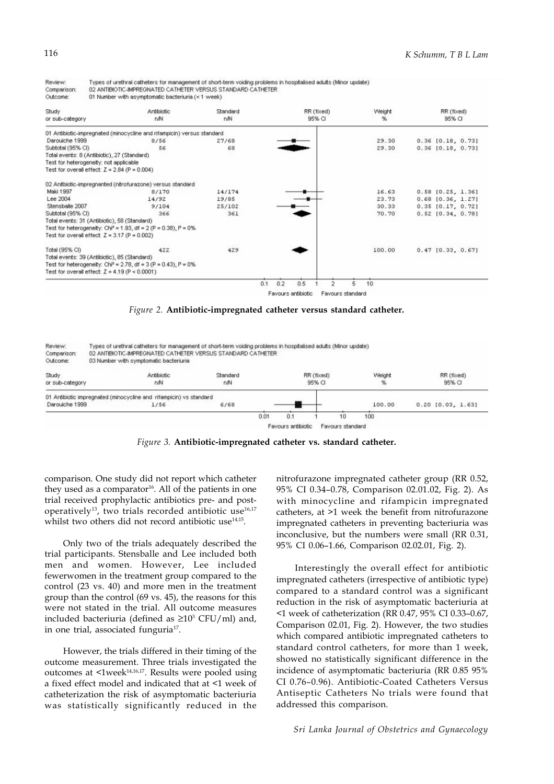| Study<br>or sub-category                         | Antibiotic<br>n/N                                                             | Standard<br>n/N | RR (fixed)<br>95% CI         | Weight<br>% | RR (fixed)<br>95% CI  |  |
|--------------------------------------------------|-------------------------------------------------------------------------------|-----------------|------------------------------|-------------|-----------------------|--|
|                                                  | 01 Antibiotic-impregnated (minocycline and rifampicin) versus standard        |                 |                              |             |                       |  |
| Darouiche 1999                                   | 8/56                                                                          | 27/68           |                              | 29.30       | $0.36$ $[0.18, 0.73]$ |  |
| Subtotal (95% CI)                                | 56                                                                            | 68              |                              | 29.30       | $0.36$ $[0.18, 0.73]$ |  |
| Total events: 8 (Antibiotic), 27 (Standard)      |                                                                               |                 |                              |             |                       |  |
| Test for heterogeneity: not applicable           |                                                                               |                 |                              |             |                       |  |
| Test for overall effect: $Z = 2.84$ (P = 0.004)  |                                                                               |                 |                              |             |                       |  |
|                                                  | 02 Anithiotic-impregnanted (nitrofurazone) versus standard                    |                 |                              |             |                       |  |
| Maki 1997                                        | 8/170                                                                         | 14/174          |                              | 16.63       | $0.58$ $[0.25, 1.36]$ |  |
| Lee 2004                                         | 14/92                                                                         | 19/85           |                              | 23.73       | $0.68$ $[0.36, 1.27]$ |  |
| Stensballe 2007                                  | 9/104                                                                         | 25/102          |                              | 30.33       | $0.35$ $[0.17, 0.72]$ |  |
| Subtotal (95% CI)                                | 366                                                                           | 361             |                              | 70.70       | $0.52$ $[0.34, 0.78]$ |  |
| Total events: 31 (Antibiotic), 58 (Standard)     |                                                                               |                 |                              |             |                       |  |
|                                                  | Test for heterogeneity: Chi <sup>2</sup> = 1.93, df = 2 (P = 0.38), $P = 0\%$ |                 |                              |             |                       |  |
| Test for overall effect: $Z = 3.17$ (P = 0.002)  |                                                                               |                 |                              |             |                       |  |
| Total (95% CI)                                   | 422                                                                           | 429             |                              | 100.00      | $0.47$ $[0.33, 0.67]$ |  |
| Total events: 39 (Antibiotic), 85 (Standard)     |                                                                               |                 |                              |             |                       |  |
|                                                  | Test for heterogeneity: Chi <sup>2</sup> = 2.78, df = 3 (P = 0.43), $P = 0\%$ |                 |                              |             |                       |  |
| Test for overall effect: $Z = 4.19$ (P < 0.0001) |                                                                               |                 |                              |             |                       |  |
|                                                  |                                                                               | 0.1             | 0.5<br>0.2<br>$\overline{2}$ | 10<br>5     |                       |  |
|                                                  |                                                                               |                 |                              |             |                       |  |
|                                                  | Favours antibiotic<br>Favours standard                                        |                 |                              |             |                       |  |

|  | Figure 2. Antibiotic-impregnated catheter versus standard catheter. |  |  |
|--|---------------------------------------------------------------------|--|--|
|  |                                                                     |  |  |

| Review:<br>Comparison:<br>Outcome: | Types of urethral catheters for management of short-term voiding problems in hospitalised adults (Minor update)<br>02 ANTIBIOTIC-IMPREGNATED CATHETER VERSUS STANDARD CATHETER<br>03 Number with symptomatic bacteriuria |                |                                                     |             |                       |  |  |
|------------------------------------|--------------------------------------------------------------------------------------------------------------------------------------------------------------------------------------------------------------------------|----------------|-----------------------------------------------------|-------------|-----------------------|--|--|
| Study<br>or sub-category           | Antibiotic<br>nM                                                                                                                                                                                                         | Standard<br>nM | RR (fixed)<br>95% CI                                | Weight<br>% | RR (fixed)<br>95% CI  |  |  |
|                                    | 01 Antibiotic impregnated (minocycline and rifampicin) vs standard                                                                                                                                                       |                |                                                     |             |                       |  |  |
| Darouiche 1999                     | 1/56                                                                                                                                                                                                                     | 6/68           |                                                     | 100.00      | $0.20$ $[0.03, 1.63]$ |  |  |
|                                    |                                                                                                                                                                                                                          | 0.01           | 10<br>0.1<br>Favours antibiotic<br>Favours standard | 100         |                       |  |  |

*Figure 3.* **Antibiotic-impregnated catheter vs. standard catheter.**

comparison. One study did not report which catheter they used as a comparator<sup>16</sup>. All of the patients in one trial received prophylactic antibiotics pre- and postoperatively<sup>13</sup>, two trials recorded antibiotic use<sup>16,17</sup> whilst two others did not record antibiotic use $14,15$ .

Only two of the trials adequately described the trial participants. Stensballe and Lee included both men and women. However, Lee included fewerwomen in the treatment group compared to the control (23 vs. 40) and more men in the treatment group than the control (69 vs. 45), the reasons for this were not stated in the trial. All outcome measures included bacteriuria (defined as  $\geq 10^3$  CFU/ml) and, in one trial, associated funguria<sup>17</sup>.

However, the trials differed in their timing of the outcome measurement. Three trials investigated the outcomes at <1week<sup>14,16,17</sup>. Results were pooled using a fixed effect model and indicated that at <1 week of catheterization the risk of asymptomatic bacteriuria was statistically significantly reduced in the

nitrofurazone impregnated catheter group (RR 0.52, 95% CI 0.34–0.78, Comparison 02.01.02, Fig. 2). As with minocycline and rifampicin impregnated catheters, at >1 week the benefit from nitrofurazone impregnated catheters in preventing bacteriuria was inconclusive, but the numbers were small (RR 0.31, 95% CI 0.06–1.66, Comparison 02.02.01, Fig. 2).

Interestingly the overall effect for antibiotic impregnated catheters (irrespective of antibiotic type) compared to a standard control was a significant reduction in the risk of asymptomatic bacteriuria at <1 week of catheterization (RR 0.47, 95% CI 0.33–0.67, Comparison 02.01, Fig. 2). However, the two studies which compared antibiotic impregnated catheters to standard control catheters, for more than 1 week, showed no statistically significant difference in the incidence of asymptomatic bacteriuria (RR 0.85 95% CI 0.76–0.96). Antibiotic-Coated Catheters Versus Antiseptic Catheters No trials were found that addressed this comparison.

*Sri Lanka Journal of Obstetrics and Gynaecology*

Types of urethral catheters for management of short-term voiding problems in hospitalised adults (Minor undate) Review Comparison: 02 ANTIBIOTIC-IMPREGNATED CATHETER VERSUS STANDARD CATHETER Outcome: 01 Number with asymptomatic bacteriuria (< 1 week)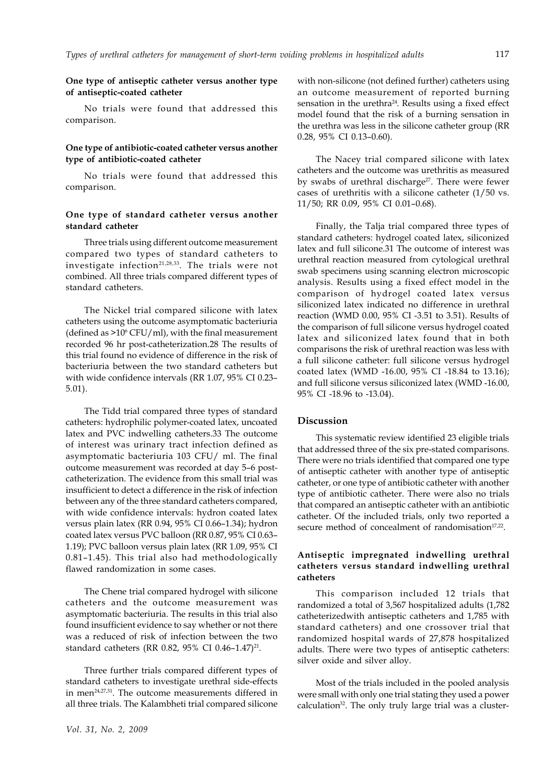# **One type of antiseptic catheter versus another type of antiseptic-coated catheter**

No trials were found that addressed this comparison.

## **One type of antibiotic-coated catheter versus another type of antibiotic-coated catheter**

No trials were found that addressed this comparison.

#### **One type of standard catheter versus another standard catheter**

Three trials using different outcome measurement compared two types of standard catheters to investigate infection<sup>21,28,33</sup>. The trials were not combined. All three trials compared different types of standard catheters.

The Nickel trial compared silicone with latex catheters using the outcome asymptomatic bacteriuria (defined as  $>10^6$  CFU/ml), with the final measurement recorded 96 hr post-catheterization.28 The results of this trial found no evidence of difference in the risk of bacteriuria between the two standard catheters but with wide confidence intervals (RR 1.07, 95% CI 0.23– 5.01).

The Tidd trial compared three types of standard catheters: hydrophilic polymer-coated latex, uncoated latex and PVC indwelling catheters.33 The outcome of interest was urinary tract infection defined as asymptomatic bacteriuria 103 CFU/ ml. The final outcome measurement was recorded at day 5–6 postcatheterization. The evidence from this small trial was insufficient to detect a difference in the risk of infection between any of the three standard catheters compared, with wide confidence intervals: hydron coated latex versus plain latex (RR 0.94, 95% CI 0.66–1.34); hydron coated latex versus PVC balloon (RR 0.87, 95% CI 0.63– 1.19); PVC balloon versus plain latex (RR 1.09, 95% CI 0.81–1.45). This trial also had methodologically flawed randomization in some cases.

The Chene trial compared hydrogel with silicone catheters and the outcome measurement was asymptomatic bacteriuria. The results in this trial also found insufficient evidence to say whether or not there was a reduced of risk of infection between the two standard catheters (RR 0.82, 95% CI 0.46-1.47)<sup>21</sup>.

Three further trials compared different types of standard catheters to investigate urethral side-effects in men24,27,31. The outcome measurements differed in all three trials. The Kalambheti trial compared silicone with non-silicone (not defined further) catheters using an outcome measurement of reported burning sensation in the urethra<sup>24</sup>. Results using a fixed effect model found that the risk of a burning sensation in the urethra was less in the silicone catheter group (RR 0.28, 95% CI 0.13–0.60).

The Nacey trial compared silicone with latex catheters and the outcome was urethritis as measured by swabs of urethral discharge<sup>27</sup>. There were fewer cases of urethritis with a silicone catheter (1/50 vs. 11/50; RR 0.09, 95% CI 0.01–0.68).

Finally, the Talja trial compared three types of standard catheters: hydrogel coated latex, siliconized latex and full silicone.31 The outcome of interest was urethral reaction measured from cytological urethral swab specimens using scanning electron microscopic analysis. Results using a fixed effect model in the comparison of hydrogel coated latex versus siliconized latex indicated no difference in urethral reaction (WMD 0.00, 95% CI -3.51 to 3.51). Results of the comparison of full silicone versus hydrogel coated latex and siliconized latex found that in both comparisons the risk of urethral reaction was less with a full silicone catheter: full silicone versus hydrogel coated latex (WMD -16.00, 95% CI -18.84 to 13.16); and full silicone versus siliconized latex (WMD -16.00, 95% CI -18.96 to -13.04).

## **Discussion**

This systematic review identified 23 eligible trials that addressed three of the six pre-stated comparisons. There were no trials identified that compared one type of antiseptic catheter with another type of antiseptic catheter, or one type of antibiotic catheter with another type of antibiotic catheter. There were also no trials that compared an antiseptic catheter with an antibiotic catheter. Of the included trials, only two reported a secure method of concealment of randomisation<sup>17,22</sup>.

# **Antiseptic impregnated indwelling urethral catheters versus standard indwelling urethral catheters**

This comparison included 12 trials that randomized a total of 3,567 hospitalized adults (1,782 catheterizedwith antiseptic catheters and 1,785 with standard catheters) and one crossover trial that randomized hospital wards of 27,878 hospitalized adults. There were two types of antiseptic catheters: silver oxide and silver alloy.

Most of the trials included in the pooled analysis were small with only one trial stating they used a power calculation<sup>32</sup>. The only truly large trial was a cluster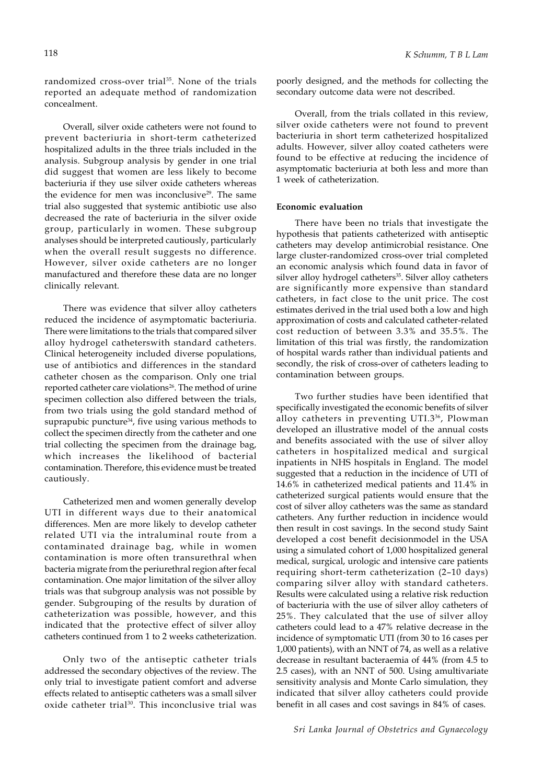randomized cross-over trial<sup>35</sup>. None of the trials reported an adequate method of randomization concealment.

Overall, silver oxide catheters were not found to prevent bacteriuria in short-term catheterized hospitalized adults in the three trials included in the analysis. Subgroup analysis by gender in one trial did suggest that women are less likely to become bacteriuria if they use silver oxide catheters whereas the evidence for men was inconclusive<sup>29</sup>. The same trial also suggested that systemic antibiotic use also decreased the rate of bacteriuria in the silver oxide group, particularly in women. These subgroup analyses should be interpreted cautiously, particularly when the overall result suggests no difference. However, silver oxide catheters are no longer manufactured and therefore these data are no longer clinically relevant.

There was evidence that silver alloy catheters reduced the incidence of asymptomatic bacteriuria. There were limitations to the trials that compared silver alloy hydrogel catheterswith standard catheters. Clinical heterogeneity included diverse populations, use of antibiotics and differences in the standard catheter chosen as the comparison. Only one trial reported catheter care violations<sup>26</sup>. The method of urine specimen collection also differed between the trials, from two trials using the gold standard method of suprapubic puncture<sup>34</sup>, five using various methods to collect the specimen directly from the catheter and one trial collecting the specimen from the drainage bag, which increases the likelihood of bacterial contamination. Therefore, this evidence must be treated cautiously.

Catheterized men and women generally develop UTI in different ways due to their anatomical differences. Men are more likely to develop catheter related UTI via the intraluminal route from a contaminated drainage bag, while in women contamination is more often transurethral when bacteria migrate from the periurethral region after fecal contamination. One major limitation of the silver alloy trials was that subgroup analysis was not possible by gender. Subgrouping of the results by duration of catheterization was possible, however, and this indicated that the protective effect of silver alloy catheters continued from 1 to 2 weeks catheterization.

Only two of the antiseptic catheter trials addressed the secondary objectives of the review. The only trial to investigate patient comfort and adverse effects related to antiseptic catheters was a small silver oxide catheter trial<sup>30</sup>. This inconclusive trial was

poorly designed, and the methods for collecting the secondary outcome data were not described.

Overall, from the trials collated in this review, silver oxide catheters were not found to prevent bacteriuria in short term catheterized hospitalized adults. However, silver alloy coated catheters were found to be effective at reducing the incidence of asymptomatic bacteriuria at both less and more than 1 week of catheterization.

#### **Economic evaluation**

There have been no trials that investigate the hypothesis that patients catheterized with antiseptic catheters may develop antimicrobial resistance. One large cluster-randomized cross-over trial completed an economic analysis which found data in favor of silver alloy hydrogel catheters<sup>35</sup>. Silver alloy catheters are significantly more expensive than standard catheters, in fact close to the unit price. The cost estimates derived in the trial used both a low and high approximation of costs and calculated catheter-related cost reduction of between 3.3% and 35.5%. The limitation of this trial was firstly, the randomization of hospital wards rather than individual patients and secondly, the risk of cross-over of catheters leading to contamination between groups.

Two further studies have been identified that specifically investigated the economic benefits of silver alloy catheters in preventing UTI.3<sup>36</sup>, Plowman developed an illustrative model of the annual costs and benefits associated with the use of silver alloy catheters in hospitalized medical and surgical inpatients in NHS hospitals in England. The model suggested that a reduction in the incidence of UTI of 14.6% in catheterized medical patients and 11.4% in catheterized surgical patients would ensure that the cost of silver alloy catheters was the same as standard catheters. Any further reduction in incidence would then result in cost savings. In the second study Saint developed a cost benefit decisionmodel in the USA using a simulated cohort of 1,000 hospitalized general medical, surgical, urologic and intensive care patients requiring short-term catheterization (2–10 days) comparing silver alloy with standard catheters. Results were calculated using a relative risk reduction of bacteriuria with the use of silver alloy catheters of 25%. They calculated that the use of silver alloy catheters could lead to a 47% relative decrease in the incidence of symptomatic UTI (from 30 to 16 cases per 1,000 patients), with an NNT of 74, as well as a relative decrease in resultant bacteraemia of 44% (from 4.5 to 2.5 cases), with an NNT of 500. Using amultivariate sensitivity analysis and Monte Carlo simulation, they indicated that silver alloy catheters could provide benefit in all cases and cost savings in 84% of cases.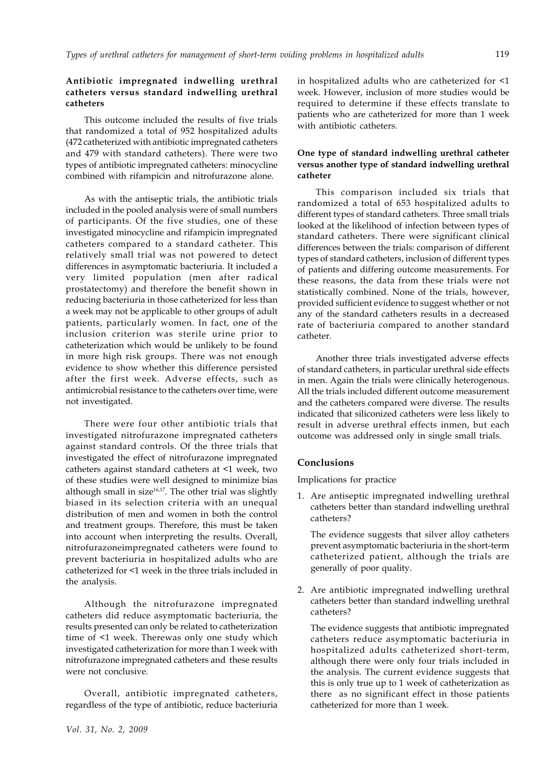# **Antibiotic impregnated indwelling urethral catheters versus standard indwelling urethral catheters**

This outcome included the results of five trials that randomized a total of 952 hospitalized adults (472 catheterized with antibiotic impregnated catheters and 479 with standard catheters). There were two types of antibiotic impregnated catheters: minocycline combined with rifampicin and nitrofurazone alone.

As with the antiseptic trials, the antibiotic trials included in the pooled analysis were of small numbers of participants. Of the five studies, one of these investigated minocycline and rifampicin impregnated catheters compared to a standard catheter. This relatively small trial was not powered to detect differences in asymptomatic bacteriuria. It included a very limited population (men after radical prostatectomy) and therefore the benefit shown in reducing bacteriuria in those catheterized for less than a week may not be applicable to other groups of adult patients, particularly women. In fact, one of the inclusion criterion was sterile urine prior to catheterization which would be unlikely to be found in more high risk groups. There was not enough evidence to show whether this difference persisted after the first week. Adverse effects, such as antimicrobial resistance to the catheters over time, were not investigated.

There were four other antibiotic trials that investigated nitrofurazone impregnated catheters against standard controls. Of the three trials that investigated the effect of nitrofurazone impregnated catheters against standard catheters at <1 week, two of these studies were well designed to minimize bias although small in size $16,17$ . The other trial was slightly biased in its selection criteria with an unequal distribution of men and women in both the control and treatment groups. Therefore, this must be taken into account when interpreting the results. Overall, nitrofurazoneimpregnated catheters were found to prevent bacteriuria in hospitalized adults who are catheterized for <1 week in the three trials included in the analysis.

Although the nitrofurazone impregnated catheters did reduce asymptomatic bacteriuria, the results presented can only be related to catheterization time of <1 week. Therewas only one study which investigated catheterization for more than 1 week with nitrofurazone impregnated catheters and these results were not conclusive.

Overall, antibiotic impregnated catheters, regardless of the type of antibiotic, reduce bacteriuria in hospitalized adults who are catheterized for <1 week. However, inclusion of more studies would be required to determine if these effects translate to patients who are catheterized for more than 1 week with antibiotic catheters.

# **One type of standard indwelling urethral catheter versus another type of standard indwelling urethral catheter**

This comparison included six trials that randomized a total of 653 hospitalized adults to different types of standard catheters. Three small trials looked at the likelihood of infection between types of standard catheters. There were significant clinical differences between the trials: comparison of different types of standard catheters, inclusion of different types of patients and differing outcome measurements. For these reasons, the data from these trials were not statistically combined. None of the trials, however, provided sufficient evidence to suggest whether or not any of the standard catheters results in a decreased rate of bacteriuria compared to another standard catheter.

Another three trials investigated adverse effects of standard catheters, in particular urethral side effects in men. Again the trials were clinically heterogenous. All the trials included different outcome measurement and the catheters compared were diverse. The results indicated that siliconized catheters were less likely to result in adverse urethral effects inmen, but each outcome was addressed only in single small trials.

# **Conclusions**

Implications for practice

1. Are antiseptic impregnated indwelling urethral catheters better than standard indwelling urethral catheters?

The evidence suggests that silver alloy catheters prevent asymptomatic bacteriuria in the short-term catheterized patient, although the trials are generally of poor quality.

2. Are antibiotic impregnated indwelling urethral catheters better than standard indwelling urethral catheters?

The evidence suggests that antibiotic impregnated catheters reduce asymptomatic bacteriuria in hospitalized adults catheterized short-term, although there were only four trials included in the analysis. The current evidence suggests that this is only true up to 1 week of catheterization as there as no significant effect in those patients catheterized for more than 1 week.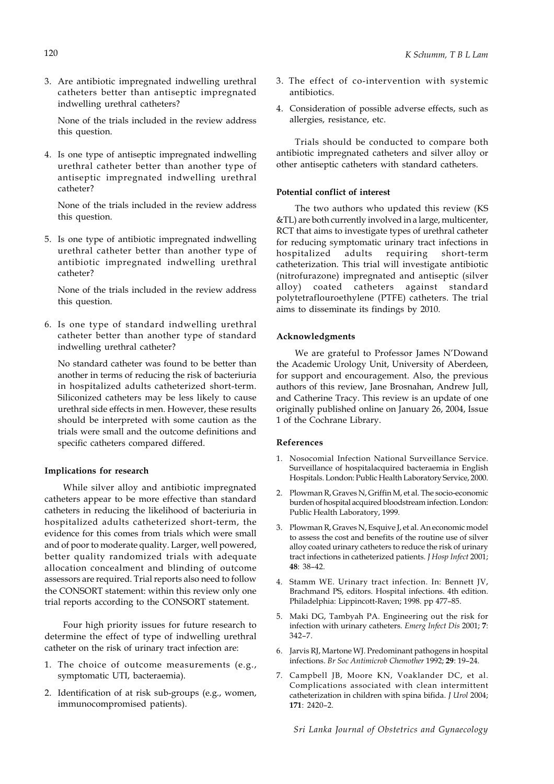3. Are antibiotic impregnated indwelling urethral catheters better than antiseptic impregnated indwelling urethral catheters?

None of the trials included in the review address this question.

4. Is one type of antiseptic impregnated indwelling urethral catheter better than another type of antiseptic impregnated indwelling urethral catheter?

None of the trials included in the review address this question.

5. Is one type of antibiotic impregnated indwelling urethral catheter better than another type of antibiotic impregnated indwelling urethral catheter?

None of the trials included in the review address this question.

6. Is one type of standard indwelling urethral catheter better than another type of standard indwelling urethral catheter?

No standard catheter was found to be better than another in terms of reducing the risk of bacteriuria in hospitalized adults catheterized short-term. Siliconized catheters may be less likely to cause urethral side effects in men. However, these results should be interpreted with some caution as the trials were small and the outcome definitions and specific catheters compared differed.

#### **Implications for research**

While silver alloy and antibiotic impregnated catheters appear to be more effective than standard catheters in reducing the likelihood of bacteriuria in hospitalized adults catheterized short-term, the evidence for this comes from trials which were small and of poor to moderate quality. Larger, well powered, better quality randomized trials with adequate allocation concealment and blinding of outcome assessors are required. Trial reports also need to follow the CONSORT statement: within this review only one trial reports according to the CONSORT statement.

Four high priority issues for future research to determine the effect of type of indwelling urethral catheter on the risk of urinary tract infection are:

- 1. The choice of outcome measurements (e.g., symptomatic UTI, bacteraemia).
- 2. Identification of at risk sub-groups (e.g., women, immunocompromised patients).
- 3. The effect of co-intervention with systemic antibiotics.
- 4. Consideration of possible adverse effects, such as allergies, resistance, etc.

Trials should be conducted to compare both antibiotic impregnated catheters and silver alloy or other antiseptic catheters with standard catheters.

## **Potential conflict of interest**

The two authors who updated this review (KS &TL) are both currently involved in a large, multicenter, RCT that aims to investigate types of urethral catheter for reducing symptomatic urinary tract infections in hospitalized adults requiring short-term catheterization. This trial will investigate antibiotic (nitrofurazone) impregnated and antiseptic (silver alloy) coated catheters against standard polytetraflouroethylene (PTFE) catheters. The trial aims to disseminate its findings by 2010.

#### **Acknowledgments**

We are grateful to Professor James N'Dowand the Academic Urology Unit, University of Aberdeen, for support and encouragement. Also, the previous authors of this review, Jane Brosnahan, Andrew Jull, and Catherine Tracy. This review is an update of one originally published online on January 26, 2004, Issue 1 of the Cochrane Library.

#### **References**

- 1. Nosocomial Infection National Surveillance Service. Surveillance of hospitalacquired bacteraemia in English Hospitals. London: Public Health Laboratory Service, 2000.
- 2. Plowman R, Graves N, Griffin M, et al. The socio-economic burden of hospital acquired bloodstream infection. London: Public Health Laboratory, 1999.
- 3. Plowman R, Graves N, Esquive J, et al. An economic model to assess the cost and benefits of the routine use of silver alloy coated urinary catheters to reduce the risk of urinary tract infections in catheterized patients. *J Hosp Infect* 2001; **48**: 38–42.
- 4. Stamm WE. Urinary tract infection. In: Bennett JV, Brachmand PS, editors. Hospital infections. 4th edition. Philadelphia: Lippincott-Raven; 1998. pp 477–85.
- 5. Maki DG, Tambyah PA. Engineering out the risk for infection with urinary catheters. *Emerg Infect Dis* 2001; **7**: 342–7.
- 6. Jarvis RJ, Martone WJ. Predominant pathogens in hospital infections. *Br Soc Antimicrob Chemother* 1992; **29**: 19–24.
- 7. Campbell JB, Moore KN, Voaklander DC, et al. Complications associated with clean intermittent catheterization in children with spina bifida. *J Urol* 2004; **171**: 2420–2.

*Sri Lanka Journal of Obstetrics and Gynaecology*